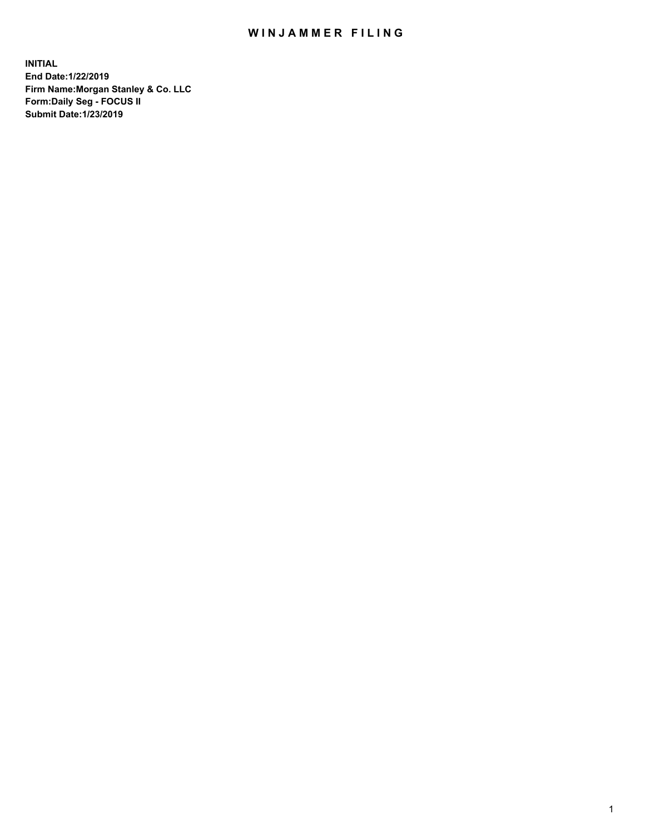## WIN JAMMER FILING

**INITIAL End Date:1/22/2019 Firm Name:Morgan Stanley & Co. LLC Form:Daily Seg - FOCUS II Submit Date:1/23/2019**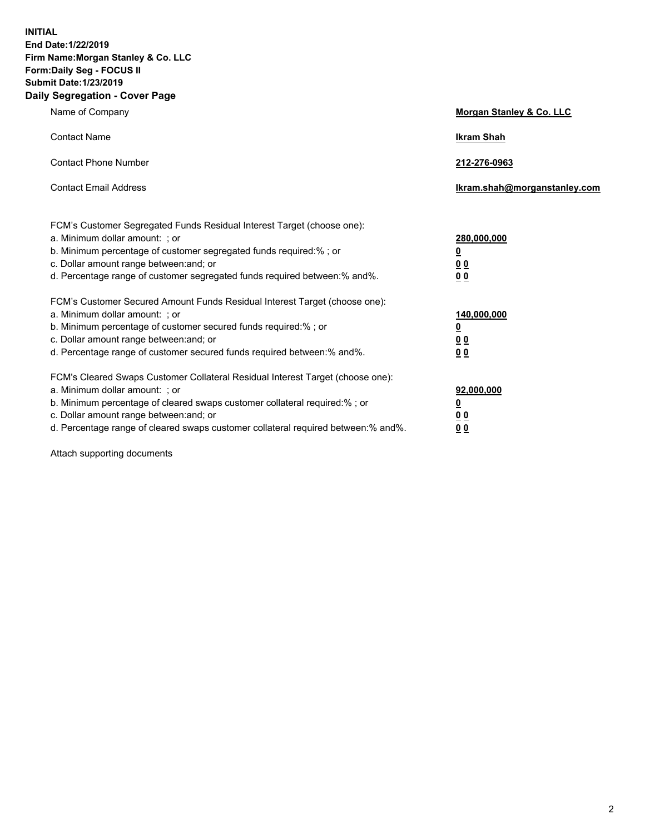**INITIAL End Date:1/22/2019 Firm Name:Morgan Stanley & Co. LLC Form:Daily Seg - FOCUS II Submit Date:1/23/2019 Daily Segregation - Cover Page**

| Name of Company                                                                                                                                                                                                                                                                                                                | Morgan Stanley & Co. LLC                               |
|--------------------------------------------------------------------------------------------------------------------------------------------------------------------------------------------------------------------------------------------------------------------------------------------------------------------------------|--------------------------------------------------------|
| <b>Contact Name</b>                                                                                                                                                                                                                                                                                                            | <b>Ikram Shah</b>                                      |
| <b>Contact Phone Number</b>                                                                                                                                                                                                                                                                                                    | 212-276-0963                                           |
| <b>Contact Email Address</b>                                                                                                                                                                                                                                                                                                   | Ikram.shah@morganstanley.com                           |
| FCM's Customer Segregated Funds Residual Interest Target (choose one):<br>a. Minimum dollar amount: ; or<br>b. Minimum percentage of customer segregated funds required:% ; or<br>c. Dollar amount range between: and; or<br>d. Percentage range of customer segregated funds required between:% and%.                         | 280,000,000<br><u>0</u><br><u>0 0</u><br>0 Q           |
| FCM's Customer Secured Amount Funds Residual Interest Target (choose one):<br>a. Minimum dollar amount: ; or<br>b. Minimum percentage of customer secured funds required:%; or<br>c. Dollar amount range between: and; or<br>d. Percentage range of customer secured funds required between:% and%.                            | 140,000,000<br><u>0</u><br><u>00</u><br>0 <sub>0</sub> |
| FCM's Cleared Swaps Customer Collateral Residual Interest Target (choose one):<br>a. Minimum dollar amount: ; or<br>b. Minimum percentage of cleared swaps customer collateral required:% ; or<br>c. Dollar amount range between: and; or<br>d. Percentage range of cleared swaps customer collateral required between:% and%. | 92,000,000<br><u>0</u><br><u>00</u><br>0 <sub>0</sub>  |

Attach supporting documents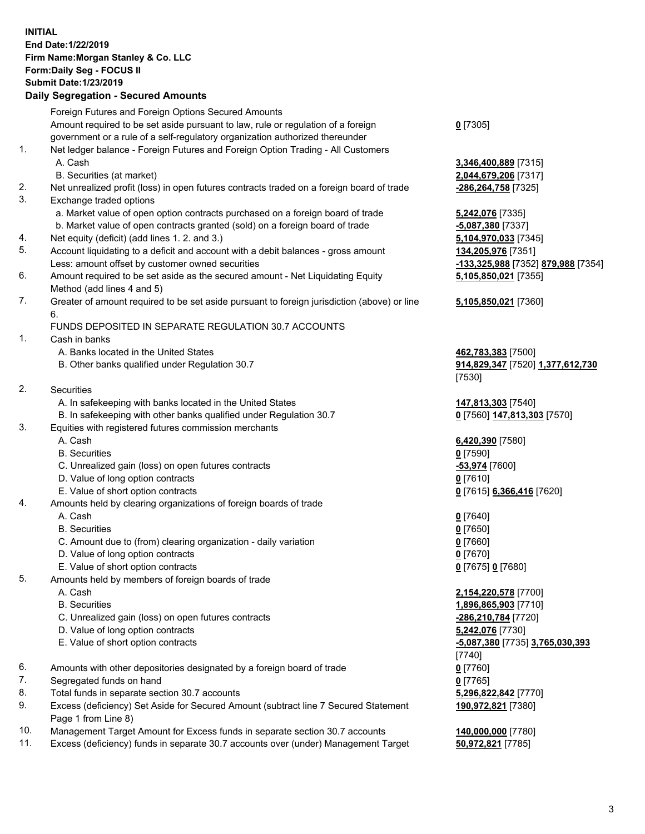## **INITIAL End Date:1/22/2019 Firm Name:Morgan Stanley & Co. LLC Form:Daily Seg - FOCUS II Submit Date:1/23/2019**

## **Daily Segregation - Secured Amounts**

Foreign Futures and Foreign Options Secured Amounts Amount required to be set aside pursuant to law, rule or regulation of a foreign government or a rule of a self-regulatory organization authorized thereunder 1. Net ledger balance - Foreign Futures and Foreign Option Trading - All Customers A. Cash **3,346,400,889** [7315] B. Securities (at market) **2,044,679,206** [7317] 2. Net unrealized profit (loss) in open futures contracts traded on a foreign board of trade **-286,264,758** [7325] 3. Exchange traded options a. Market value of open option contracts purchased on a foreign board of trade **5,242,076** [7335] b. Market value of open contracts granted (sold) on a foreign board of trade **-5,087,380** [7337] 4. Net equity (deficit) (add lines 1. 2. and 3.) **5,104,970,033** [7345] 5. Account liquidating to a deficit and account with a debit balances - gross amount **134,205,976** [7351] Less: amount offset by customer owned securities **-133,325,988** [7352] **879,988** [7354] 6. Amount required to be set aside as the secured amount - Net Liquidating Equity Method (add lines 4 and 5) 7. Greater of amount required to be set aside pursuant to foreign jurisdiction (above) or line 6. FUNDS DEPOSITED IN SEPARATE REGULATION 30.7 ACCOUNTS 1. Cash in banks A. Banks located in the United States **462,783,383** [7500] B. Other banks qualified under Regulation 30.7 **914,829,347** [7520] **1,377,612,730** 2. Securities A. In safekeeping with banks located in the United States **147,813,303** [7540] B. In safekeeping with other banks qualified under Regulation 30.7 **0** [7560] **147,813,303** [7570] 3. Equities with registered futures commission merchants A. Cash **6,420,390** [7580] B. Securities **0** [7590] C. Unrealized gain (loss) on open futures contracts **-53,974** [7600] D. Value of long option contracts **0** [7610] E. Value of short option contracts **0** [7615] **6,366,416** [7620] 4. Amounts held by clearing organizations of foreign boards of trade A. Cash **0** [7640] B. Securities **0** [7650] C. Amount due to (from) clearing organization - daily variation **0** [7660] D. Value of long option contracts **0** [7670] E. Value of short option contracts **0** [7675] **0** [7680] 5. Amounts held by members of foreign boards of trade A. Cash **2,154,220,578** [7700] B. Securities **1,896,865,903** [7710] C. Unrealized gain (loss) on open futures contracts **-286,210,784** [7720] D. Value of long option contracts **5,242,076** [7730] E. Value of short option contracts **-5,087,380** [7735] **3,765,030,393** 6. Amounts with other depositories designated by a foreign board of trade **0** [7760] 7. Segregated funds on hand **0** [7765] 8. Total funds in separate section 30.7 accounts **5,296,822,842** [7770] 9. Excess (deficiency) Set Aside for Secured Amount (subtract line 7 Secured Statement Page 1 from Line 8)

- 10. Management Target Amount for Excess funds in separate section 30.7 accounts **140,000,000** [7780]
- 11. Excess (deficiency) funds in separate 30.7 accounts over (under) Management Target **50,972,821** [7785]

**0** [7305]

**5,105,850,021** [7355]

## **5,105,850,021** [7360]

[7530]

[7740] **190,972,821** [7380]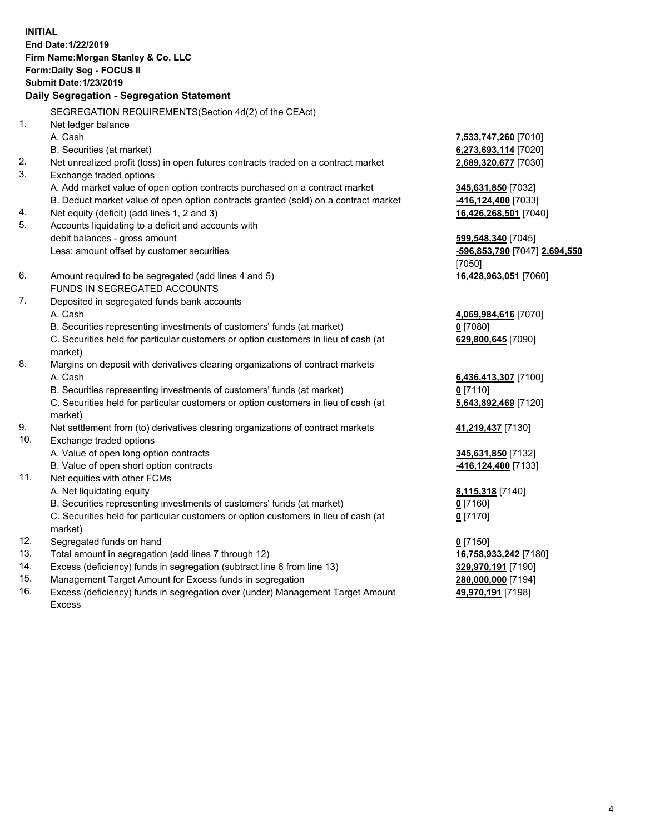**INITIAL End Date:1/22/2019 Firm Name:Morgan Stanley & Co. LLC Form:Daily Seg - FOCUS II Submit Date:1/23/2019 Daily Segregation - Segregation Statement** SEGREGATION REQUIREMENTS(Section 4d(2) of the CEAct) 1. Net ledger balance A. Cash **7,533,747,260** [7010] B. Securities (at market) **6,273,693,114** [7020] 2. Net unrealized profit (loss) in open futures contracts traded on a contract market **2,689,320,677** [7030] 3. Exchange traded options A. Add market value of open option contracts purchased on a contract market **345,631,850** [7032] B. Deduct market value of open option contracts granted (sold) on a contract market **-416,124,400** [7033] 4. Net equity (deficit) (add lines 1, 2 and 3) **16,426,268,501** [7040] 5. Accounts liquidating to a deficit and accounts with debit balances - gross amount **599,548,340** [7045] Less: amount offset by customer securities **-596,853,790** [7047] **2,694,550** [7050] 6. Amount required to be segregated (add lines 4 and 5) **16,428,963,051** [7060] FUNDS IN SEGREGATED ACCOUNTS 7. Deposited in segregated funds bank accounts A. Cash **4,069,984,616** [7070] B. Securities representing investments of customers' funds (at market) **0** [7080] C. Securities held for particular customers or option customers in lieu of cash (at market) **629,800,645** [7090] 8. Margins on deposit with derivatives clearing organizations of contract markets A. Cash **6,436,413,307** [7100] B. Securities representing investments of customers' funds (at market) **0** [7110] C. Securities held for particular customers or option customers in lieu of cash (at market) **5,643,892,469** [7120] 9. Net settlement from (to) derivatives clearing organizations of contract markets **41,219,437** [7130] 10. Exchange traded options A. Value of open long option contracts **345,631,850** [7132] B. Value of open short option contracts **-416,124,400** [7133] 11. Net equities with other FCMs A. Net liquidating equity **8,115,318** [7140] B. Securities representing investments of customers' funds (at market) **0** [7160] C. Securities held for particular customers or option customers in lieu of cash (at market) **0** [7170] 12. Segregated funds on hand **0** [7150] 13. Total amount in segregation (add lines 7 through 12) **16,758,933,242** [7180] 14. Excess (deficiency) funds in segregation (subtract line 6 from line 13) **329,970,191** [7190]

- 15. Management Target Amount for Excess funds in segregation **280,000,000** [7194]
- 16. Excess (deficiency) funds in segregation over (under) Management Target Amount Excess

**49,970,191** [7198]